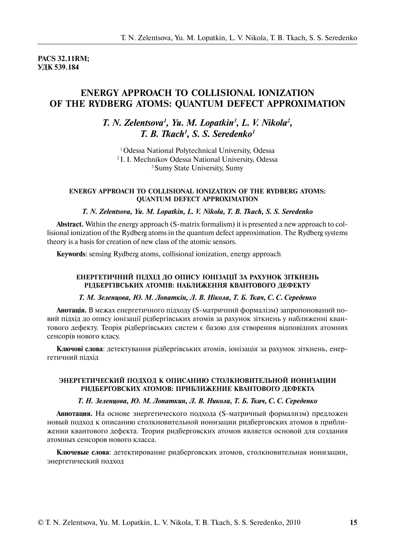**PACS 32.11RM;**  УДК 539.184

# **ENERGY APPROACH TO COLLISIONAL IONIZATION OF THE RYDBERG ATOMS: QUANTUM DEFECT APPROXIMATION**

# *T. N. Zelentsova<sup>1</sup>, Yu. M. Lopatkin<sup>3</sup>, L. V. Nikola<sup>2</sup>, T. B. Tkach1 , S. S. Seredenko1*

<sup>1</sup> Odessa National Polytechnical University, Odessa 2 I. I. Mechnikov Odessa National University, Odessa 3 Sumy State University, Sumy

## **ENERGY APPROACH TO COLLISIONAL IONIZATION OF THE RYDBERG ATOMS: QUANTUM DEFECT APPROXIMATION**

#### *T. N. Zelentsova, Yu. M. Lopatkin, L. V. Nikola, T. B. Tkach, S. S. Seredenko*

**Abstract.** Within the energy approach (S-matrix formalism) it is presented a new approach to collisional ionization of the Rydberg atoms in the quantum defect approximation. The Rydberg systems theory is a basis for creation of new class of the atomic sensors.

**Keywords**: sensing Rydberg atoms, collisional ionization, energy approach

#### **ЕНЕРГЕТИЧНИЙ ПІДХІД ДО ОПИСУ ІОНІЗАЦІЇ ЗА РАХУНОК ЗІТКНЕНЬ** РІДБЕРГІВСЬКИХ АТОМІВ: НАБЛИЖЕННЯ КВАНТОВОГО ДЕФЕКТУ

#### Т. М. Зеленцова, Ю. М. Лопаткін, Л. В. Нікола, Т. Б. Ткач, С. С. Середенко

**Анотація.** В межах енергетичного підходу (S-матричний формалізм) запропонований новий підхід до опису іонізації рідбергівських атомів за рахунок зіткнень у наближенні квантового дефекту. Теорія рідбергівських систем є базою для створення відповідних атомних сенсорів нового класу.

Ключові слова: детектування рідбергівських атомів, іонізація за рахунок зіткнень, енергетичний пілхіл

# ЭНЕРГЕТИЧЕСКИЙ ПОДХОД К ОПИСАНИЮ СТОЛКНОВИТЕЛЬНОЙ ИОНИЗАЦИИ РИДБЕРГОВСКИХ АТОМОВ: ПРИБЛИЖЕНИЕ КВАНТОВОГО ДЕФЕКТА

### Т. Н. Зеленцова, Ю. М. Лопаткин, Л. В. Никола, Т. Б. Ткач, С. С. Середенко

**Аннотация.** На основе энергетического подхода (S-матричный формализм) предложен новый подход к описанию столкновительной ионизации ридберговских атомов в приближении квантового дефекта. Теория ридберговских атомов является основой для создания атомных сенсоров нового класса.

**Ключевые слова**: детектирование ридберговских атомов, столкновительная ионизации, энергетический подход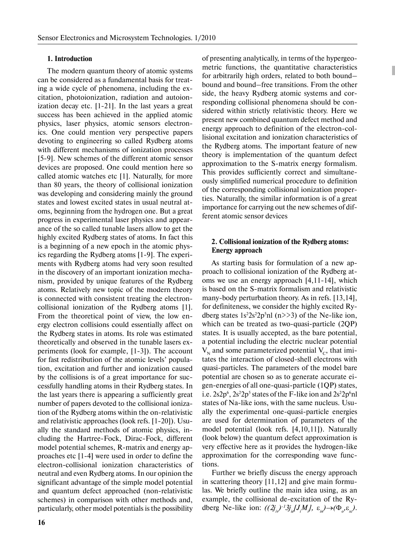### **1. Introduction**

The modern quantum theory of atomic systems can be considered as a fundamental basis for treating a wide cycle of phenomena, including the excitation, photoionization, radiation and autoionization decay etc. [1-21]. In the last years a great success has been achieved in the applied atomic physics, laser physics, atomic sensors electronics. One could mention very perspective papers devoting to engineering so called Rydberg atoms with different mechanisms of ionization processes [5-9]. New schemes of the different atomic sensor devices are proposed. One could mention here so called atomic watches etc [1]. Naturally, for more than 80 years, the theory of collisional ionization was developing and considering mainly the ground states and lowest excited states in usual neutral atoms, beginning from the hydrogen one. But a great progress in experimental laser physics and appearance of the so called tunable lasers allow to get the highly excited Rydberg states of atoms. In fact this is a beginning of a new epoch in the atomic physics regarding the Rydberg atoms [1-9]. The experiments with Rydberg atoms had very soon resulted in the discovery of an important ionization mechanism, provided by unique features of the Rydberg atoms. Relatively new topic of the modern theory is connected with consistent treating the electroncollisional ionization of the Rydberg atoms [1]. From the theoretical point of view, the low energy electron collisions could essentially affect on the Rydberg states in atoms. Its role was estimated theoretically and observed in the tunable lasers experiments (look for example, [1-3]). The account for fast redistribution of the atomic levels' population, excitation and further and ionization caused by the collisions is of a great importance for successfully handling atoms in their Rydberg states. In the last years there is appearing a sufficiently great number of papers devoted to the collisional ionization of the Rydberg atoms within the on-relativistic and relativistic approaches (look refs. [1-20]). Usually the standard methods of atomic physics, including the Hartree-Fock, Dirac-Fock, different model potential schemes, R-matrix and energy approaches etc [1-4] were used in order to define the electron-collisional ionization characteristics of neutral and even Rydberg atoms. In our opinion the significant advantage of the simple model potential and quantum defect approached (non-relativistic schemes) in comparison with other methods and, particularly, other model potentials is the possibility of presenting analytically, in terms of the hypergeometric functions, the quantitative characteristics for arbitrarily high orders, related to both bound– bound and bound–free transitions. From the other side, the heavy Rydberg atomic systems and corresponding collisional phenomena should be considered within strictly relativistic theory. Here we present new combined quantum defect method and energy approach to definition of the electron-collisional excitation and ionization characteristics of the Rydberg atoms. The important feature of new theory is implementation of the quantum defect approximation to the S-matrix energy formalism. This provides sufficiently correct and simultaneously simplified numerical procedure to definition of the corresponding collisional ionization properties. Naturally, the similar information is of a great importance for carrying out the new schemes of different atomic sensor devices

# **2. Collisional ionization of the Rydberg atoms: Energy approach**

As starting basis for formulation of a new approach to collisional ionization of the Rydberg atoms we use an energy approach [4,11-14], which is based on the S-matrix formalism and relativistic many-body perturbation theory. As in refs. [13,14], for definiteness, we consider the highly excited Rydberg states  $1s^22s^22p^5nl$  (n>>3) of the Ne-like ion, which can be treated as two-quasi-particle (2QP) states. It is usually accepted, as the bare potential, a potential including the electric nuclear potential  $V_{N}$  and some parameterized potential  $V_{C}$ , that imitates the interaction of closed-shell electrons with quasi-particles. The parameters of the model bare potential are chosen so as to generate accurate eigen-energies of all one-quasi-particle (1QP) states, i.e.  $2s2p^6$ ,  $2s^22p^5$  states of the F-like ion and  $2s^22p^6$ nl states of Na-like ions, with the same nucleus. Usually the experimental one-quasi-particle energies are used for determination of parameters of the model potential (look refs. [4,10,11]). Naturally (look below) the quantum defect approximation is very effective here as it provides the hydrogen-like approximation for the corresponding wave functions.

Further we briefly discuss the energy approach in scattering theory [11,12] and give main formulas. We briefly outline the main idea using, as an example, the collisional de-excitation of the Rydberg Ne-like ion:  $((2j_{N})^{-1}3j_{N}J_{N}J_{N}, \varepsilon_{N}) \rightarrow (\Phi_{o}, \varepsilon_{N}J_{N})$ .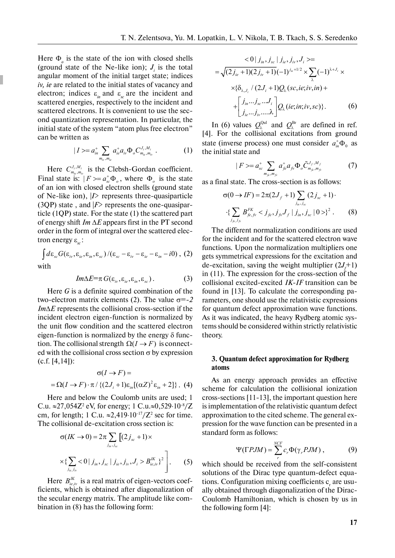Here  $\Phi_{\rho}$  is the state of the ion with closed shells (ground state of the Ne-like ion);  $J_i$  is the total angular moment of the initial target state; indices *iv, ie* are related to the initial states of vacancy and electron; indices  $\varepsilon_{in}$  and  $\varepsilon_{sc}$  are the incident and scattered energies, respectively to the incident and scattered electrons. It is convenient to use the second quantization representation. In particular, the initial state of the system "atom plus free electron" can be written as

$$
| I \rangle = a_{in}^{+} \sum_{m_{iv}, m_{ie}} a_{ie}^{+} a_{iv} \Phi_o C_{m_{ie}, m_{iv}}^{J_i, M_i} . \qquad (1)
$$

Here  $C_{m_{ie},m_{iv}}^{J_i,M_i}$  is the Clebsh-Gordan coefficient. Final state is:  $|F\rangle = a_{sc}^{\dagger} \Phi_{o}$ , where  $\Phi_{o}$  is the state of an ion with closed electron shells (ground state of Ne-like ion), |*I*> represents three-quasiparticle (3QP) state , and |*F*> represents the one-quasiparticle (1QP) state. For the state (1) the scattered part of energy shift *Im* Δ*E* appears first in the PT second order in the form of integral over the scattered electron energy ε<sub>ε</sub>:

$$
\int d\varepsilon_{sc} G(\varepsilon_{is}, \varepsilon_{is}, \varepsilon_{is}, \varepsilon_{sc})/(\varepsilon_{sc} - \varepsilon_{is} - \varepsilon_{is} - \varepsilon_{is} - i0), (2)
$$
  
with

$$
Im\Delta E = \pi G(\varepsilon_{i_v}, \varepsilon_{i_e}, \varepsilon_{i_m}, \varepsilon_{sc}). \tag{3}
$$

Here *G* is a definite squired combination of the two-electron matrix elements (2). The value σ=*-2 Im*Δ*E* represents the collisional cross-section if the incident electron eigen-function is normalized by the unit flow condition and the scattered electron eigen-function is normalized by the energy  $\delta$  function. The collisional strength  $\Omega(I \to F)$  is connected with the collisional cross section  $\sigma$  by expression (c.f. [4,14]):

$$
\sigma(I \to F) =
$$
  
=  $\Omega(I \to F) \cdot \pi / \{(2J_i + 1)\varepsilon_{in}[(\alpha Z)^2 \varepsilon_{in} + 2]\}$ . (4)

Here and below the Coulomb units are used; 1 C.u. ≈27,054Z<sup>2</sup> eV, for energy; 1 C.u.≈0,529⋅10<sup>-8</sup>/Z cm, for length; 1 C.u.  $\approx 2,419 \cdot 10^{-17}/Z^2$  sec for time. The collisional de-excitation cross section is:

$$
\sigma(IK \to 0) = 2\pi \sum_{j_m, j_{sc}} [(2j_{sc} + 1) \times
$$
  
 
$$
\times {\sum_{j_e, j_{iv}} < 0 | j_{in}, j_{sc} | j_{ie}, j_{iv}, J_i > B_{ie,iv}^{IK} \}^2}.
$$
 (5)

Here  $B_{i_e,i_v}^K$  is a real matrix of eigen-vectors coefficients, which is obtained after diagonalization of the secular energy matrix. The amplitude like combination in (8) has the following form:

$$
\langle 0 | j_m, j_{sc} | j_{ie}, j_{iv}, J_i \rangle =
$$
  
=  $\sqrt{(2j_{ie}+1)(2j_{iv}+1)}(-1)^{j_{ie}+1/2} \times \sum_{\lambda} (-1)^{\lambda + J_i} \times$   
 $\times {\delta_{\lambda, J_i}} / (2J_i + 1)Q_{\lambda} (sc, ie; iv, in) +$   
+  $\left[\frac{j_m...j_{sc}...J_i}{j_{ie}...j_{iv}....\lambda}\right]Q_{\lambda} (ie; in; iv, sc) \}.$  (6)

In (6) values  $Q_{\lambda}^{\text{Qu}}$  and  $Q_{\lambda}^{\text{Br}}$  are defined in ref. [4]. For the collisional excitations from ground state (inverse process) one must consider  $a_{in}^+ \Phi_0$  as the initial state and

$$
|F\rangle = a_{sc}^{+} \sum_{m_{fc},m_{fc}} a_{fc}^{+} a_{fc} \Phi_o \tilde{C}_{m_{fc},m_{fc}}^{J_f,M_f}
$$
(7)

as a final state. The cross-section is as follows:

$$
\sigma(0 \to IF) = 2\pi (2J_f + 1) \sum_{j_{in},j_{sc}} (2j_{sc} + 1) \cdot
$$
  
 
$$
\cdot \{ \sum_{j_{\beta},j_{\beta}} B_{f_{\beta},f_{\gamma}}^{FK} < j_{\beta}, j_{\beta}, J_f | j_{in}, j_{sc} | 0 > \}^2.
$$
 (8)

The different normalization conditions are used for the incident and for the scattered electron wave functions. Upon the normalization multipliers one gets symmetrical expressions for the excitation and de-excitation, saving the weight multiplier  $(2J_f+1)$ in (11). The expression for the cross-section of the collisional excited-excited *IK-IF* transition can be found in [13]. To calculate the corresponding parameters, one should use the relativistic expressions for quantum defect approximation wave functions. As it was indicated, the heavy Rydberg atomic systems should be considered within strictly relativistic theory.

# **3. Quantum defect approximation for Rydberg atoms**

As an energy approach provides an effective scheme for calculation the collisional ionization cross-sections [11-13], the important question here is implementation of the relativistic quantum defect approximation to the cited scheme. The general expression for the wave function can be presented in a standard form as follows:

$$
\Psi(\Gamma P J M) = \sum_{r}^{NCF} c_r \Phi(\gamma_r P J M) , \qquad (9)
$$

which should be received from the self-consistent solutions of the Dirac type quantum-defect equations. Configuration mixing coefficients  $c<sub>r</sub>$  are usually obtained through diagonalization of the Dirac-Coulomb Hamiltonian, which is chosen by us in the following form [4]: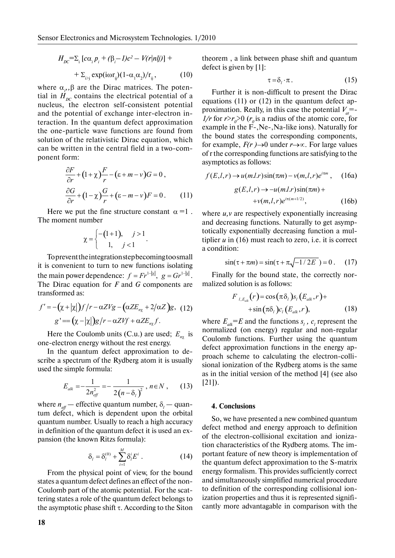$$
H_{DC} = \sum_{i} [c\alpha_i p_i + (\beta_i - 1)c^2 - V(r|nlj)] +
$$
  
+ 
$$
\sum_{i>j} \exp(i\omega r_{ij})(1 - \alpha_i \alpha_j)/r_{ij},
$$
 (10)

where  $\alpha_{\rho}$ ,  $\beta$  are the Dirac matrices. The potential in  $H_{nc}$  contains the electrical potential of a nucleus, the electron self-consistent potential and the potential of exchange inter-electron interaction. In the quantum defect approximation the one-particle wave functions are found from solution of the relativistic Dirac equation, which can be written in the central field in a two-component form:

$$
\frac{\partial F}{\partial r} + (1 + \chi) \frac{F}{r} - (\varepsilon + m - \nu) G = 0,
$$
  

$$
\frac{\partial G}{\partial r} + (1 - \chi) \frac{G}{r} + (\varepsilon - m - \nu) F = 0.
$$
 (11)

Here we put the fine structure constant  $\alpha = 1$ . The moment number

$$
\chi = \begin{cases} -(1+1), & j > 1 \\ 1, & j < 1 \end{cases}.
$$

To prevent the integration step becoming too small it is convenient to turn to new functions isolating the main power dependence:  $f = Fr^{1-|x|}$ ,  $g = Gr^{1-|x|}$ . The Dirac equation for *F* and *G* components are transformed as:

$$
f' = -(\chi + |\chi|)f/r - \alpha ZVg - (\alpha ZE_{n\chi} + 2/\alpha Z)g, \quad (12)
$$

$$
g' = (\chi - |\chi|)g/r - \alpha ZVf + \alpha ZE_{n\chi}f.
$$

Here the Coulomb units (C.u.) are used;  $E_{n\alpha}$  is one-electron energy without the rest energy.

In the quantum defect approximation to describe a spectrum of the Rydberg atom it is usually used the simple formula:

$$
E_{\text{alk}} = -\frac{1}{2n_{\text{eff}}^2} = -\frac{1}{2(n - \delta_l)^2}, n \in N, \quad (13)
$$

where  $n_{\text{eff}}$  — effective quantum number,  $\delta_l$  — quantum defect, which is dependent upon the orbital quantum number. Usually to reach a high accuracy in definition of the quantum defect it is used an expansion (the known Ritzs formula):

$$
\delta_l = \delta_l^{(0)} + \sum_{i=1}^M \delta_l^i E^i \ . \tag{14}
$$

From the physical point of view, for the bound states a quantum defect defines an effect of the non-Coulomb part of the atomic potential. For the scattering states a role of the quantum defect belongs to the asymptotic phase shift  $\tau$ . According to the Siton theorem , a link between phase shift and quantum defect is given by [1]:

$$
\tau = \delta_l \cdot \pi. \tag{15}
$$

Further it is non-difficult to present the Dirac equations (11) or (12) in the quantum defect approximation. Really, in this case the potential  $V_{at}$ = *1/r* for  $r > r_0 > 0$  ( $r_0$  is a radius of the atomic core, for example in the F-,Ne-,Na-like ions). Naturally for the bound states the corresponding components, for example, *F(r )*→0 under *r*→∝. For large values of r the corresponding functions are satisfying to the asymptotics as follows:

$$
f(E, l, r) \to u(m.l.r)\sin(\pi m) - v(m, l, r)e^{i\pi m}, \quad (16a)
$$

$$
g(E, l, r) \to -u(m.l.r)\sin(\pi m) +
$$

$$
+v(m, l, r)e^{i\pi(m+l/2)}, \quad (16b)
$$

where  $u, v$  are respectively exponentially increasing and decreasing functions. Naturally to get asymptotically exponentially decreasing function a multiplier *u* in (16) must reach to zero, i.e. it is correct a condition:

$$
\sin(\tau + \pi m) = \sin(\tau + \pi \sqrt{-1/2E}) = 0. \quad (17)
$$

Finally for the bound state, the correctly normalized solution is as follows:

$$
F_{l,E_{ak}}(r) = \cos(\pi \delta_l) s_l (E_{alk}, r) + \sin(\pi \delta_l) c_l (E_{alk}, r), \qquad (18)
$$

where  $E_{\text{alk}} = E$  and the functions  $s_i$ ,  $c_i$  represent the normalized (on energy) regular and non-regular Coulomb functions. Further using the quantum defect approximation functions in the energy approach scheme to calculating the electron-collisional ionization of the Rydberg atoms is the same as in the initial version of the method [4] (see also  $[21]$ ).

#### **4. Conclusions**

So, we have presented a new combined quantum defect method and energy approach to definition of the electron-collisional excitation and ionization characteristics of the Rydberg atoms. The important feature of new theory is implementation of the quantum defect approximation to the S-matrix energy formalism. This provides sufficiently correct and simultaneously simplified numerical procedure to definition of the corresponding collisional ionization properties and thus it is represented significantly more advantagable in comparison with the